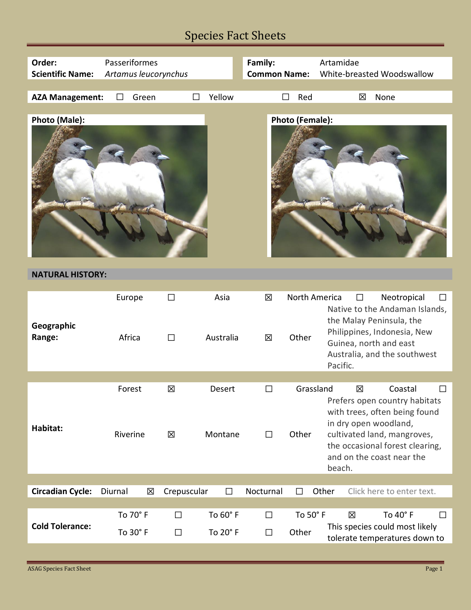| Order:<br><b>Scientific Name:</b> | Passeriformes<br>Artamus leucorynchus |                  |                      | Family:<br><b>Common Name:</b> |                               | Artamidae<br>White-breasted Woodswallow                                                                                                                                                                                    |  |
|-----------------------------------|---------------------------------------|------------------|----------------------|--------------------------------|-------------------------------|----------------------------------------------------------------------------------------------------------------------------------------------------------------------------------------------------------------------------|--|
| <b>AZA Management:</b>            | Green<br>П                            |                  | Yellow               |                                | Red                           | None<br>⊠                                                                                                                                                                                                                  |  |
| Photo (Male):                     |                                       |                  |                      |                                | <b>Photo (Female):</b>        |                                                                                                                                                                                                                            |  |
| <b>NATURAL HISTORY:</b>           |                                       |                  |                      |                                |                               |                                                                                                                                                                                                                            |  |
| Geographic<br>Range:              | Europe<br>Africa                      | $\Box$<br>$\Box$ | Asia<br>Australia    | 区<br>区                         | <b>North America</b><br>Other | Neotropical<br>П<br>$\Box$<br>Native to the Andaman Islands,<br>the Malay Peninsula, the<br>Philippines, Indonesia, New<br>Guinea, north and east<br>Australia, and the southwest<br>Pacific.                              |  |
|                                   |                                       |                  |                      |                                |                               |                                                                                                                                                                                                                            |  |
| Habitat:                          | Forest<br>Riverine                    | 区<br>区           | Desert<br>Montane    | П<br>□                         | Grassland<br>Other            | 区<br>Coastal<br>$\Box$<br>Prefers open country habitats<br>with trees, often being found<br>in dry open woodland,<br>cultivated land, mangroves,<br>the occasional forest clearing,<br>and on the coast near the<br>beach. |  |
| <b>Circadian Cycle:</b>           | Diurnal<br>区                          | Crepuscular      | $\Box$               | Nocturnal                      |                               | Other<br>Click here to enter text.                                                                                                                                                                                         |  |
|                                   |                                       |                  |                      |                                |                               |                                                                                                                                                                                                                            |  |
| <b>Cold Tolerance:</b>            | To 70° F<br>To 30° F                  | $\Box$<br>□      | To 60° F<br>To 20° F | $\Box$<br>□                    | To 50° F<br>Other             | To 40° F<br>区<br>$\Box$<br>This species could most likely<br>tolerate temperatures down to                                                                                                                                 |  |

Г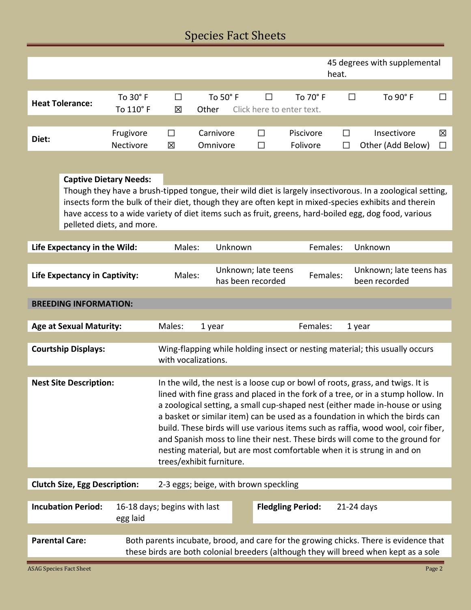|                        |                              |        |                    |         |                                                 | heat. | 45 degrees with supplemental |   |
|------------------------|------------------------------|--------|--------------------|---------|-------------------------------------------------|-------|------------------------------|---|
|                        |                              |        |                    |         |                                                 |       |                              |   |
| <b>Heat Tolerance:</b> | To $30^\circ$ F<br>To 110° F | П      | To 50 $^{\circ}$ F | $\Box$  | To 70 $^{\circ}$ F<br>Click here to enter text. | П     | To $90^\circ$ F              |   |
|                        |                              | 区      | Other              |         |                                                 |       |                              |   |
| Diet:                  | Frugivore                    | $\Box$ | Carnivore          | $\perp$ | Piscivore                                       | П     | Insectivore                  | 区 |
|                        | Nectivore                    | 図      | Omnivore           | П       | Folivore                                        | □     | Other (Add Below)            |   |
|                        |                              |        |                    |         |                                                 |       |                              |   |

### **Captive Dietary Needs:**

Though they have a brush-tipped tongue, their wild diet is largely insectivorous. In a zoological setting, insects form the bulk of their diet, though they are often kept in mixed-species exhibits and therein have access to a wide variety of diet items such as fruit, greens, hard-boiled egg, dog food, various pelleted diets, and more.

| Life Expectancy in the Wild:          | Males:                                                                                                                                                                        | Unknown                                                                                                                                                                                                                                                                                                                                                                                                                                                                                                                                                                                                      | Females: | Unknown                                  |  |  |  |  |
|---------------------------------------|-------------------------------------------------------------------------------------------------------------------------------------------------------------------------------|--------------------------------------------------------------------------------------------------------------------------------------------------------------------------------------------------------------------------------------------------------------------------------------------------------------------------------------------------------------------------------------------------------------------------------------------------------------------------------------------------------------------------------------------------------------------------------------------------------------|----------|------------------------------------------|--|--|--|--|
|                                       |                                                                                                                                                                               |                                                                                                                                                                                                                                                                                                                                                                                                                                                                                                                                                                                                              |          |                                          |  |  |  |  |
| <b>Life Expectancy in Captivity:</b>  | Males:                                                                                                                                                                        | Unknown; late teens<br>has been recorded                                                                                                                                                                                                                                                                                                                                                                                                                                                                                                                                                                     | Females: | Unknown; late teens has<br>been recorded |  |  |  |  |
|                                       |                                                                                                                                                                               |                                                                                                                                                                                                                                                                                                                                                                                                                                                                                                                                                                                                              |          |                                          |  |  |  |  |
| <b>BREEDING INFORMATION:</b>          |                                                                                                                                                                               |                                                                                                                                                                                                                                                                                                                                                                                                                                                                                                                                                                                                              |          |                                          |  |  |  |  |
|                                       |                                                                                                                                                                               |                                                                                                                                                                                                                                                                                                                                                                                                                                                                                                                                                                                                              |          |                                          |  |  |  |  |
| <b>Age at Sexual Maturity:</b>        | Males:                                                                                                                                                                        | 1 year                                                                                                                                                                                                                                                                                                                                                                                                                                                                                                                                                                                                       | Females: | 1 year                                   |  |  |  |  |
|                                       |                                                                                                                                                                               |                                                                                                                                                                                                                                                                                                                                                                                                                                                                                                                                                                                                              |          |                                          |  |  |  |  |
| <b>Courtship Displays:</b>            |                                                                                                                                                                               | Wing-flapping while holding insect or nesting material; this usually occurs<br>with vocalizations.                                                                                                                                                                                                                                                                                                                                                                                                                                                                                                           |          |                                          |  |  |  |  |
|                                       |                                                                                                                                                                               |                                                                                                                                                                                                                                                                                                                                                                                                                                                                                                                                                                                                              |          |                                          |  |  |  |  |
| <b>Nest Site Description:</b>         |                                                                                                                                                                               | In the wild, the nest is a loose cup or bowl of roots, grass, and twigs. It is<br>lined with fine grass and placed in the fork of a tree, or in a stump hollow. In<br>a zoological setting, a small cup-shaped nest (either made in-house or using<br>a basket or similar item) can be used as a foundation in which the birds can<br>build. These birds will use various items such as raffia, wood wool, coir fiber,<br>and Spanish moss to line their nest. These birds will come to the ground for<br>nesting material, but are most comfortable when it is strung in and on<br>trees/exhibit furniture. |          |                                          |  |  |  |  |
| <b>Clutch Size, Egg Description:</b>  |                                                                                                                                                                               | 2-3 eggs; beige, with brown speckling                                                                                                                                                                                                                                                                                                                                                                                                                                                                                                                                                                        |          |                                          |  |  |  |  |
|                                       |                                                                                                                                                                               |                                                                                                                                                                                                                                                                                                                                                                                                                                                                                                                                                                                                              |          |                                          |  |  |  |  |
| <b>Incubation Period:</b><br>egg laid | 16-18 days; begins with last                                                                                                                                                  | <b>Fledgling Period:</b>                                                                                                                                                                                                                                                                                                                                                                                                                                                                                                                                                                                     |          | $21-24$ days                             |  |  |  |  |
|                                       |                                                                                                                                                                               |                                                                                                                                                                                                                                                                                                                                                                                                                                                                                                                                                                                                              |          |                                          |  |  |  |  |
| <b>Parental Care:</b>                 | Both parents incubate, brood, and care for the growing chicks. There is evidence that<br>these birds are both colonial breeders (although they will breed when kept as a sole |                                                                                                                                                                                                                                                                                                                                                                                                                                                                                                                                                                                                              |          |                                          |  |  |  |  |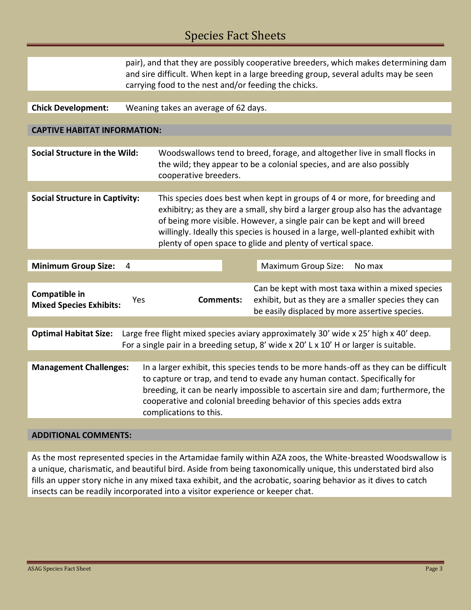|                                                                                                                                                                                                                   | pair), and that they are possibly cooperative breeders, which makes determining dam<br>and sire difficult. When kept in a large breeding group, several adults may be seen<br>carrying food to the nest and/or feeding the chicks.                                                                                                                                                        |                                                                                                                                                                              |  |                                                                                                                                                            |  |  |
|-------------------------------------------------------------------------------------------------------------------------------------------------------------------------------------------------------------------|-------------------------------------------------------------------------------------------------------------------------------------------------------------------------------------------------------------------------------------------------------------------------------------------------------------------------------------------------------------------------------------------|------------------------------------------------------------------------------------------------------------------------------------------------------------------------------|--|------------------------------------------------------------------------------------------------------------------------------------------------------------|--|--|
|                                                                                                                                                                                                                   |                                                                                                                                                                                                                                                                                                                                                                                           |                                                                                                                                                                              |  |                                                                                                                                                            |  |  |
| <b>Chick Development:</b>                                                                                                                                                                                         | Weaning takes an average of 62 days.                                                                                                                                                                                                                                                                                                                                                      |                                                                                                                                                                              |  |                                                                                                                                                            |  |  |
|                                                                                                                                                                                                                   |                                                                                                                                                                                                                                                                                                                                                                                           |                                                                                                                                                                              |  |                                                                                                                                                            |  |  |
| <b>CAPTIVE HABITAT INFORMATION:</b>                                                                                                                                                                               |                                                                                                                                                                                                                                                                                                                                                                                           |                                                                                                                                                                              |  |                                                                                                                                                            |  |  |
|                                                                                                                                                                                                                   |                                                                                                                                                                                                                                                                                                                                                                                           |                                                                                                                                                                              |  |                                                                                                                                                            |  |  |
|                                                                                                                                                                                                                   |                                                                                                                                                                                                                                                                                                                                                                                           |                                                                                                                                                                              |  |                                                                                                                                                            |  |  |
| <b>Social Structure in the Wild:</b>                                                                                                                                                                              |                                                                                                                                                                                                                                                                                                                                                                                           | Woodswallows tend to breed, forage, and altogether live in small flocks in<br>the wild; they appear to be a colonial species, and are also possibly<br>cooperative breeders. |  |                                                                                                                                                            |  |  |
|                                                                                                                                                                                                                   |                                                                                                                                                                                                                                                                                                                                                                                           |                                                                                                                                                                              |  |                                                                                                                                                            |  |  |
| <b>Social Structure in Captivity:</b>                                                                                                                                                                             | This species does best when kept in groups of 4 or more, for breeding and<br>exhibitry; as they are a small, shy bird a larger group also has the advantage<br>of being more visible. However, a single pair can be kept and will breed<br>willingly. Ideally this species is housed in a large, well-planted exhibit with<br>plenty of open space to glide and plenty of vertical space. |                                                                                                                                                                              |  |                                                                                                                                                            |  |  |
|                                                                                                                                                                                                                   |                                                                                                                                                                                                                                                                                                                                                                                           |                                                                                                                                                                              |  |                                                                                                                                                            |  |  |
| <b>Minimum Group Size:</b>                                                                                                                                                                                        | 4                                                                                                                                                                                                                                                                                                                                                                                         |                                                                                                                                                                              |  | <b>Maximum Group Size:</b><br>No max                                                                                                                       |  |  |
|                                                                                                                                                                                                                   |                                                                                                                                                                                                                                                                                                                                                                                           |                                                                                                                                                                              |  |                                                                                                                                                            |  |  |
| Compatible in<br><b>Mixed Species Exhibits:</b>                                                                                                                                                                   | Yes                                                                                                                                                                                                                                                                                                                                                                                       | <b>Comments:</b>                                                                                                                                                             |  | Can be kept with most taxa within a mixed species<br>exhibit, but as they are a smaller species they can<br>be easily displaced by more assertive species. |  |  |
|                                                                                                                                                                                                                   |                                                                                                                                                                                                                                                                                                                                                                                           |                                                                                                                                                                              |  |                                                                                                                                                            |  |  |
| <b>Optimal Habitat Size:</b><br>Large free flight mixed species aviary approximately 30' wide x 25' high x 40' deep.<br>For a single pair in a breeding setup, 8' wide $x$ 20' L $x$ 10' H or larger is suitable. |                                                                                                                                                                                                                                                                                                                                                                                           |                                                                                                                                                                              |  |                                                                                                                                                            |  |  |
|                                                                                                                                                                                                                   |                                                                                                                                                                                                                                                                                                                                                                                           |                                                                                                                                                                              |  |                                                                                                                                                            |  |  |
| <b>Management Challenges:</b>                                                                                                                                                                                     | In a larger exhibit, this species tends to be more hands-off as they can be difficult<br>to capture or trap, and tend to evade any human contact. Specifically for<br>breeding, it can be nearly impossible to ascertain sire and dam; furthermore, the<br>cooperative and colonial breeding behavior of this species adds extra<br>complications to this.                                |                                                                                                                                                                              |  |                                                                                                                                                            |  |  |

### **ADDITIONAL COMMENTS:**

As the most represented species in the Artamidae family within AZA zoos, the White-breasted Woodswallow is a unique, charismatic, and beautiful bird. Aside from being taxonomically unique, this understated bird also fills an upper story niche in any mixed taxa exhibit, and the acrobatic, soaring behavior as it dives to catch insects can be readily incorporated into a visitor experience or keeper chat.